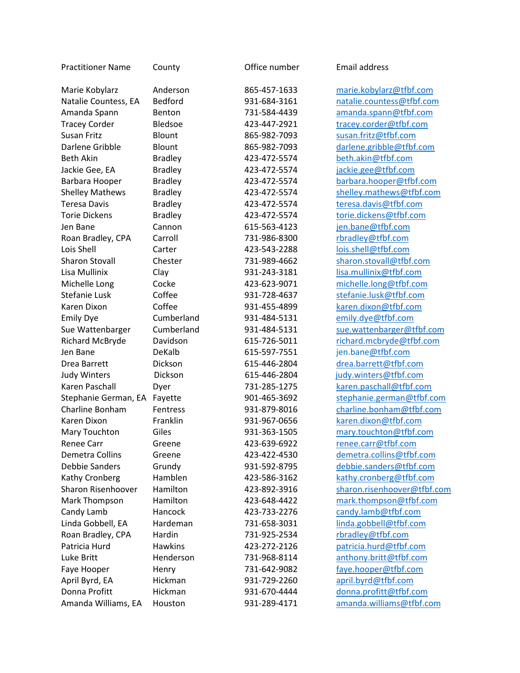| <b>Practitioner Name</b> | County         | Office number | Email address               |
|--------------------------|----------------|---------------|-----------------------------|
| Marie Kobylarz           | Anderson       | 865-457-1633  | marie.kobylarz@tfbf.com     |
| Natalie Countess, EA     | <b>Bedford</b> | 931-684-3161  | natalie.countess@tfbf.com   |
| Amanda Spann             | Benton         | 731-584-4439  | amanda.spann@tfbf.com       |
| <b>Tracey Corder</b>     | <b>Bledsoe</b> | 423-447-2921  | tracey.corder@tfbf.com      |
| Susan Fritz              | Blount         | 865-982-7093  | susan.fritz@tfbf.com        |
| Darlene Gribble          | Blount         | 865-982-7093  | darlene.gribble@tfbf.com    |
| <b>Beth Akin</b>         | <b>Bradley</b> | 423-472-5574  | beth.akin@tfbf.com          |
| Jackie Gee, EA           | <b>Bradley</b> | 423-472-5574  | jackie.gee@tfbf.com         |
| Barbara Hooper           | <b>Bradley</b> | 423-472-5574  | barbara.hooper@tfbf.com     |
| <b>Shelley Mathews</b>   | <b>Bradley</b> | 423-472-5574  | shelley.mathews@tfbf.com    |
| <b>Teresa Davis</b>      | <b>Bradley</b> | 423-472-5574  | teresa.davis@tfbf.com       |
| <b>Torie Dickens</b>     | <b>Bradley</b> | 423-472-5574  | torie.dickens@tfbf.com      |
| Jen Bane                 | Cannon         | 615-563-4123  | jen.bane@tfbf.com           |
| Roan Bradley, CPA        | Carroll        | 731-986-8300  | rbradley@tfbf.com           |
| Lois Shell               | Carter         | 423-543-2288  | lois.shell@tfbf.com         |
| <b>Sharon Stovall</b>    | Chester        | 731-989-4662  | sharon.stovall@tfbf.com     |
| Lisa Mullinix            | Clay           | 931-243-3181  | lisa.mullinix@tfbf.com      |
| Michelle Long            | Cocke          | 423-623-9071  | michelle.long@tfbf.com      |
| <b>Stefanie Lusk</b>     | Coffee         | 931-728-4637  | stefanie.lusk@tfbf.com      |
| Karen Dixon              | Coffee         | 931-455-4899  | karen.dixon@tfbf.com        |
| <b>Emily Dye</b>         | Cumberland     | 931-484-5131  | emily.dye@tfbf.com          |
| Sue Wattenbarger         | Cumberland     | 931-484-5131  | sue.wattenbarger@tfbf.com   |
| Richard McBryde          | Davidson       | 615-726-5011  | richard.mcbryde@tfbf.com    |
| Jen Bane                 | DeKalb         | 615-597-7551  | jen.bane@tfbf.com           |
| Drea Barrett             | Dickson        | 615-446-2804  | drea.barrett@tfbf.com       |
| <b>Judy Winters</b>      | Dickson        | 615-446-2804  | judy.winters@tfbf.com       |
| Karen Paschall           | Dyer           | 731-285-1275  | karen.paschall@tfbf.com     |
| Stephanie German, EA     | Fayette        | 901-465-3692  | stephanie.german@tfbf.com   |
| Charline Bonham          | Fentress       | 931-879-8016  | charline.bonham@tfbf.com    |
| Karen Dixon              | Franklin       | 931-967-0656  | karen.dixon@tfbf.com        |
| Mary Touchton            | Giles          | 931-363-1505  | mary.touchton@tfbf.com      |
| <b>Renee Carr</b>        | Greene         | 423-639-6922  | renee.carr@tfbf.com         |
| Demetra Collins          | Greene         | 423-422-4530  | demetra.collins@tfbf.com    |
| Debbie Sanders           | Grundy         | 931-592-8795  | debbie.sanders@tfbf.com     |
| Kathy Cronberg           | Hamblen        | 423-586-3162  | kathy.cronberg@tfbf.com     |
| Sharon Risenhoover       | Hamilton       | 423-892-3916  | sharon.risenhoover@tfbf.com |
| Mark Thompson            | Hamilton       | 423-648-4422  | mark.thompson@tfbf.com      |
| Candy Lamb               | Hancock        | 423-733-2276  | candy.lamb@tfbf.com         |
| Linda Gobbell, EA        | Hardeman       | 731-658-3031  | linda.gobbell@tfbf.com      |
| Roan Bradley, CPA        | Hardin         | 731-925-2534  | rbradley@tfbf.com           |
| Patricia Hurd            | <b>Hawkins</b> | 423-272-2126  | patricia.hurd@tfbf.com      |
| Luke Britt               | Henderson      | 731-968-8114  | anthony.britt@tfbf.com      |
| Faye Hooper              | Henry          | 731-642-9082  | faye.hooper@tfbf.com        |
| April Byrd, EA           | Hickman        | 931-729-2260  | april.byrd@tfbf.com         |
| Donna Profitt            | Hickman        | 931-670-4444  | donna.profitt@tfbf.com      |
| Amanda Williams, EA      | Houston        | 931-289-4171  | amanda.williams@tfbf.com    |
|                          |                |               |                             |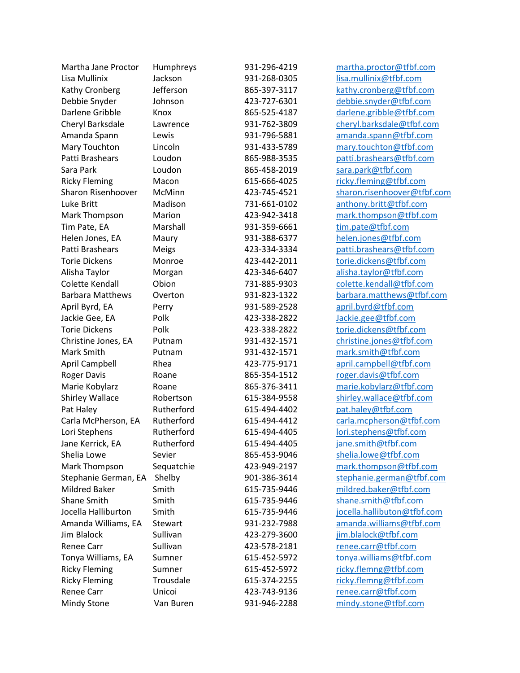| Martha Jane Proctor     | Humphreys    | 931-296-4219 | martha.proctor@tfbf.com     |
|-------------------------|--------------|--------------|-----------------------------|
| Lisa Mullinix           | Jackson      | 931-268-0305 | lisa.mullinix@tfbf.com      |
| Kathy Cronberg          | Jefferson    | 865-397-3117 | kathy.cronberg@tfbf.com     |
| Debbie Snyder           | Johnson      | 423-727-6301 | debbie.snyder@tfbf.com      |
| Darlene Gribble         | Knox         | 865-525-4187 | darlene.gribble@tfbf.com    |
| Cheryl Barksdale        | Lawrence     | 931-762-3809 | cheryl.barksdale@tfbf.com   |
| Amanda Spann            | Lewis        | 931-796-5881 | amanda.spann@tfbf.com       |
| Mary Touchton           | Lincoln      | 931-433-5789 | mary.touchton@tfbf.com      |
| Patti Brashears         | Loudon       | 865-988-3535 | patti.brashears@tfbf.com    |
| Sara Park               | Loudon       | 865-458-2019 | sara.park@tfbf.com          |
| <b>Ricky Fleming</b>    | Macon        | 615-666-4025 | ricky.fleming@tfbf.com      |
| Sharon Risenhoover      | McMinn       | 423-745-4521 | sharon.risenhoover@tfbf.com |
| Luke Britt              | Madison      | 731-661-0102 | anthony.britt@tfbf.com      |
| Mark Thompson           | Marion       | 423-942-3418 | mark.thompson@tfbf.com      |
| Tim Pate, EA            | Marshall     | 931-359-6661 | tim.pate@tfbf.com           |
| Helen Jones, EA         | Maury        | 931-388-6377 | helen.jones@tfbf.com        |
| Patti Brashears         | <b>Meigs</b> | 423-334-3334 | patti.brashears@tfbf.com    |
| <b>Torie Dickens</b>    | Monroe       | 423-442-2011 | torie.dickens@tfbf.com      |
| Alisha Taylor           | Morgan       | 423-346-6407 | alisha.taylor@tfbf.com      |
| Colette Kendall         | Obion        | 731-885-9303 | colette.kendall@tfbf.com    |
| <b>Barbara Matthews</b> | Overton      | 931-823-1322 | barbara.matthews@tfbf.com   |
| April Byrd, EA          | Perry        | 931-589-2528 | april.byrd@tfbf.com         |
| Jackie Gee, EA          | Polk         | 423-338-2822 | Jackie.gee@tfbf.com         |
| <b>Torie Dickens</b>    | Polk         | 423-338-2822 | torie.dickens@tfbf.com      |
| Christine Jones, EA     | Putnam       | 931-432-1571 | christine.jones@tfbf.com    |
| Mark Smith              | Putnam       | 931-432-1571 | mark.smith@tfbf.com         |
| April Campbell          | Rhea         | 423-775-9171 | april.campbell@tfbf.com     |
| <b>Roger Davis</b>      | Roane        | 865-354-1512 | roger.davis@tfbf.com        |
| Marie Kobylarz          | Roane        | 865-376-3411 | marie.kobylarz@tfbf.com     |
| Shirley Wallace         | Robertson    | 615-384-9558 | shirley.wallace@tfbf.com    |
| Pat Haley               | Rutherford   | 615-494-4402 | pat.haley@tfbf.com          |
| Carla McPherson, EA     | Rutherford   | 615-494-4412 | carla.mcpherson@tfbf.com    |
| Lori Stephens           | Rutherford   | 615-494-4405 | lori.stephens@tfbf.com      |
| Jane Kerrick, EA        | Rutherford   | 615-494-4405 | jane.smith@tfbf.com         |
| Shelia Lowe             | Sevier       | 865-453-9046 | shelia.lowe@tfbf.com        |
| Mark Thompson           | Sequatchie   | 423-949-2197 | mark.thompson@tfbf.com      |
| Stephanie German, EA    | Shelby       | 901-386-3614 | stephanie.german@tfbf.com   |
| <b>Mildred Baker</b>    | Smith        | 615-735-9446 | mildred.baker@tfbf.com      |
| Shane Smith             | Smith        | 615-735-9446 | shane.smith@tfbf.com        |
| Jocella Halliburton     | Smith        | 615-735-9446 | jocella.hallibuton@tfbf.com |
| Amanda Williams, EA     | Stewart      | 931-232-7988 | amanda.williams@tfbf.com    |
| Jim Blalock             | Sullivan     | 423-279-3600 | jim.blalock@tfbf.com        |
| <b>Renee Carr</b>       | Sullivan     | 423-578-2181 | renee.carr@tfbf.com         |
| Tonya Williams, EA      | Sumner       | 615-452-5972 | tonya.williams@tfbf.com     |
| <b>Ricky Fleming</b>    | Sumner       | 615-452-5972 | ricky.flemng@tfbf.com       |
| <b>Ricky Fleming</b>    | Trousdale    | 615-374-2255 | ricky.flemng@tfbf.com       |
| Renee Carr              | Unicoi       | 423-743-9136 | renee.carr@tfbf.com         |
| Mindy Stone             | Van Buren    | 931-946-2288 | mindy.stone@tfbf.com        |